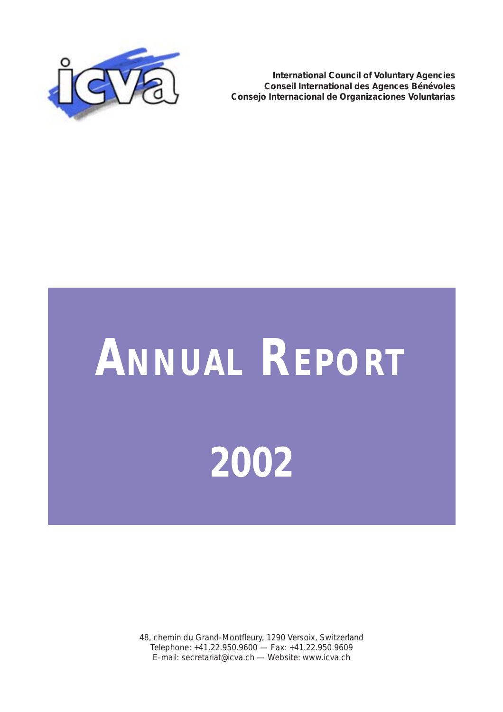

**International Council of Voluntary Agencies Conseil International des Agences Bénévoles Consejo Internacional de Organizaciones Voluntarias**

# **ANNUAL REPORT 2002**

48, chemin du Grand-Montfleury, 1290 Versoix, Switzerland Telephone: +41.22.950.9600 — Fax: +41.22.950.9609 E-mail: secretariat@icva.ch — Website: www.icva.ch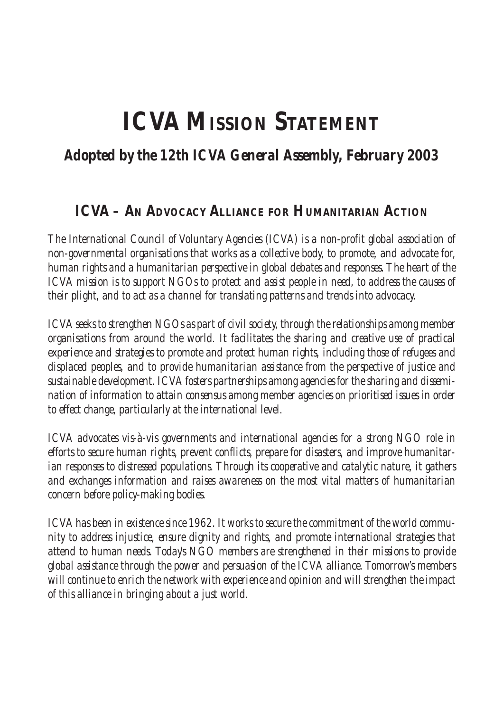# **ICVA MISSION STATEMENT**

## *Adopted by the 12th ICVA General Assembly, February 2003*

## **ICVA – AN ADVOCACY ALLIANCE FOR HUMANITARIAN ACTION**

*The International Council of Voluntary Agencies (ICVA) is a non-profit global association of non-governmental organisations that works as a collective body, to promote, and advocate for, human rights and a humanitarian perspective in global debates and responses. The heart of the ICVA mission is to support NGOs to protect and assist people in need, to address the causes of their plight, and to act as a channel for translating patterns and trends into advocacy.*

*ICVA seeks to strengthen NGOs as part of civil society, through the relationships among member organisations from around the world. It facilitates the sharing and creative use of practical experience and strategies to promote and protect human rights, including those of refugees and displaced peoples, and to provide humanitarian assistance from the perspective of justice and sustainable development. ICVA fosters partnerships among agencies for the sharing and dissemination of information to attain consensus among member agencies on prioritised issues in order to effect change, particularly at the international level.*

*ICVA advocates vis-à-vis governments and international agencies for a strong NGO role in efforts to secure human rights, prevent conflicts, prepare for disasters, and improve humanitarian responses to distressed populations. Through its cooperative and catalytic nature, it gathers and exchanges information and raises awareness on the most vital matters of humanitarian concern before policy-making bodies.*

*ICVA has been in existence since 1962. It works to secure the commitment of the world community to address injustice, ensure dignity and rights, and promote international strategies that attend to human needs. Today's NGO members are strengthened in their missions to provide global assistance through the power and persuasion of the ICVA alliance. Tomorrow's members will continue to enrich the network with experience and opinion and will strengthen the impact of this alliance in bringing about a just world.*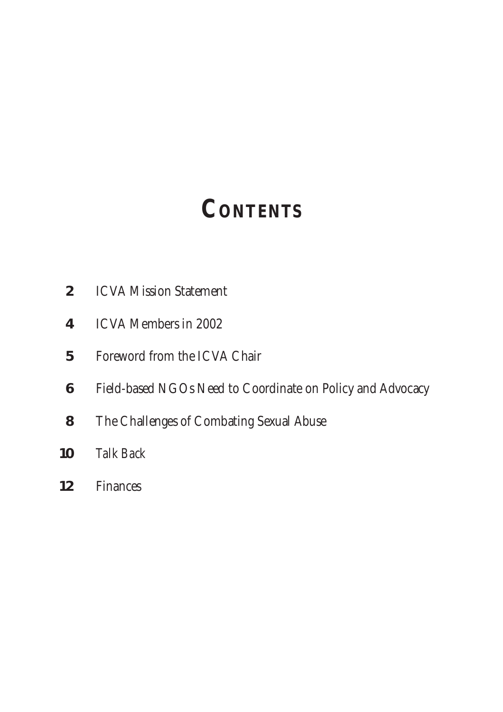# **CONTENTS**

- ICVA Mission Statement
- ICVA Members in 2002
- Foreword from the ICVA Chair
- Field-based NGOs Need to Coordinate on Policy and Advocacy
- The Challenges of Combating Sexual Abuse
- *Talk Back*
- Finances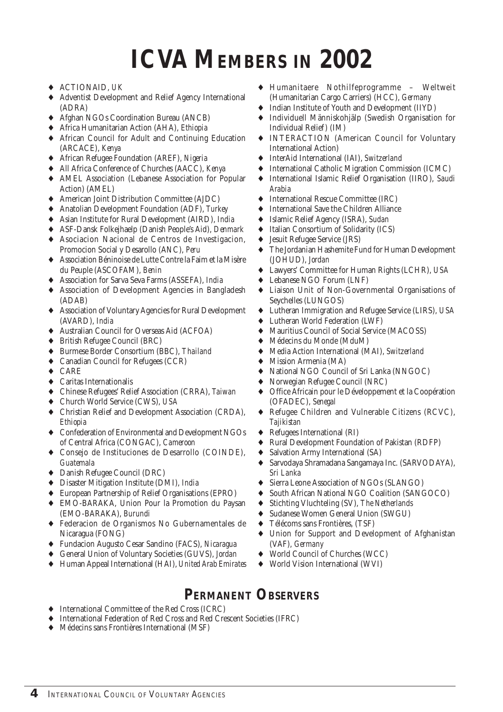# **ICVA MEMBERS IN 2002**

- ♦ ACTIONAID, *UK*
- ♦ Adventist Development and Relief Agency International (ADRA)
- ♦ Afghan NGOs Coordination Bureau (ANCB)
- ♦ Africa Humanitarian Action (AHA), *Ethiopia*
- ♦ African Council for Adult and Continuing Education (ARCACE), *Kenya*
- ♦ African Refugee Foundation (AREF), *Nigeria*
- ♦ All Africa Conference of Churches (AACC), *Kenya*
- ♦ AMEL Association (Lebanese Association for Popular Action) (AMEL)
- ♦ American Joint Distribution Committee (AJDC)
- ♦ Anatolian Development Foundation (ADF), *Turkey*
- ♦ Asian Institute for Rural Development (AIRD), *India*
- ♦ ASF-Dansk Folkejhaelp (Danish People's Aid), *Denmark*
- ♦ Asociacion Nacional de Centros de Investigacion, Promocion Social y Desarollo (ANC), *Peru*
- ♦ Association Béninoise de Lutte Contre la Faim et la Misère du Peuple (ASCOFAM), *Benin*
- ♦ Association for Sarva Seva Farms (ASSEFA), *India*
- ♦ Association of Development Agencies in Bangladesh (ADAB)
- ♦ Association of Voluntary Agencies for Rural Development (AVARD), *India*
- ♦ Australian Council for Overseas Aid (ACFOA)
- ♦ British Refugee Council (BRC)
- ♦ Burmese Border Consortium (BBC), *Thailand*
- ♦ Canadian Council for Refugees (CCR)
- ♦ CARE
- ♦ Caritas Internationalis
- ♦ Chinese Refugees' Relief Association (CRRA), *Taiwan*
- ♦ Church World Service (CWS), *USA*
- ♦ Christian Relief and Development Association (CRDA), *Ethiopia*
- ♦ Confederation of Environmental and Development NGOs of Central Africa (CONGAC), *Cameroon*
- ♦ Consejo de Instituciones de Desarrollo (COINDE), *Guatemala*
- ♦ Danish Refugee Council (DRC)
- ♦ Disaster Mitigation Institute (DMI), *India*
- ♦ European Partnership of Relief Organisations (EPRO)
- ♦ EMO-BARAKA, Union Pour la Promotion du Paysan (EMO-BARAKA), *Burundi*
- ♦ Federacion de Organismos No Gubernamentales de Nicaragua (FONG)
- ♦ Fundacion Augusto Cesar Sandino (FACS), *Nicaragua*
- ♦ General Union of Voluntary Societies (GUVS), *Jordan*
- ♦ Human Appeal International (HAI), *United Arab Emirates*
- ♦ Humanitaere Nothilfeprogramme Weltweit (Humanitarian Cargo Carriers) (HCC), *Germany*
- ◆ Indian Institute of Youth and Development (IIYD)<br>◆ Individuell Människohiäln (Swedish Organisatio
- ♦ Individuell Människohjälp (Swedish Organisation for Individual Relief) (IM)
- ♦ INTERACTION (American Council for Voluntary International Action)
- InterAid International (IAI), *Switzerland*
- International Catholic Migration Commission (ICMC)
- ♦ International Islamic Relief Organisation (IIRO), *Saudi Arabia*
- ♦ International Rescue Committee (IRC)
- ♦ International Save the Children Alliance
- ♦ Islamic Relief Agency (ISRA), *Sudan*
- Italian Consortium of Solidarity (ICS)
- ♦ Jesuit Refugee Service (JRS)
- The Jordanian Hashemite Fund for Human Development (JOHUD), *Jordan*
- Lawyers' Committee for Human Rights (LCHR), *USA*
- ♦ Lebanese NGO Forum (LNF)
- ♦ Liaison Unit of Non-Governmental Organisations of Seychelles (LUNGOS)
- ♦ Lutheran Immigration and Refugee Service (LIRS), *USA*
- Lutheran World Federation (LWF)
- ♦ Mauritius Council of Social Service (MACOSS)
- ♦ Médecins du Monde (MduM)
- ♦ Media Action International (MAI), *Switzerland*
- ♦ Mission Armenia (MA)
- National NGO Council of Sri Lanka (NNGOC)
- Norwegian Refugee Council (NRC)
- Office Africain pour le Développement et la Coopération (OFADEC), *Senegal*
- ♦ Refugee Children and Vulnerable Citizens (RCVC), *Tajikistan*
- ♦ Refugees International (RI)
- Rural Development Foundation of Pakistan (RDFP)
- Salvation Army International (SA)
- ♦ Sarvodaya Shramadana Sangamaya Inc. (SARVODAYA), *Sri Lanka*
- ♦ Sierra Leone Association of NGOs (SLANGO)
- South African National NGO Coalition (SANGOCO)
- ♦ Stichting Vluchteling (SV), *The Netherlands*
- Sudanese Women General Union (SWGU)
- Télécoms sans Frontières, (TSF)
- ♦ Union for Support and Development of Afghanistan (VAF), *Germany*
- ♦ World Council of Churches (WCC)
- World Vision International (WVI)

## **PERMANENT OBSERVERS**

- ♦ International Committee of the Red Cross (ICRC)
- ♦ International Federation of Red Cross and Red Crescent Societies (IFRC)
- ♦ Médecins sans Frontières International (MSF)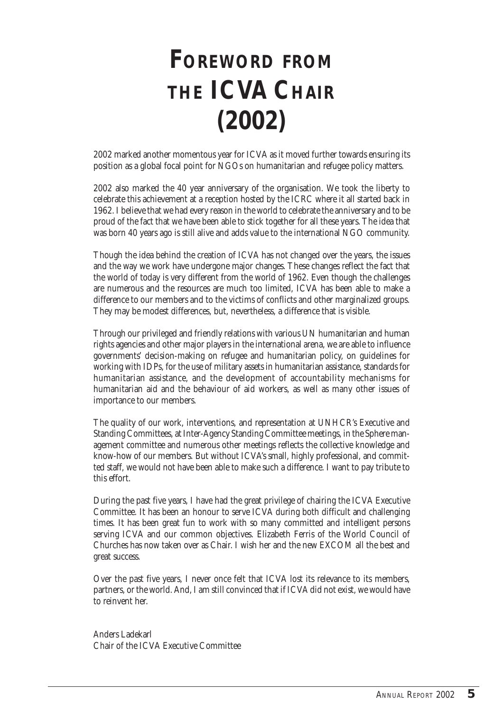# **FOREWORD FROM THE ICVA CHAIR (2002)**

2002 marked another momentous year for ICVA as it moved further towards ensuring its position as a global focal point for NGOs on humanitarian and refugee policy matters.

2002 also marked the 40 year anniversary of the organisation. We took the liberty to celebrate this achievement at a reception hosted by the ICRC where it all started back in 1962. I believe that we had every reason in the world to celebrate the anniversary and to be proud of the fact that we have been able to stick together for all these years. The idea that was born 40 years ago is still alive and adds value to the international NGO community.

Though the idea behind the creation of ICVA has not changed over the years, the issues and the way we work have undergone major changes. These changes reflect the fact that the world of today is very different from the world of 1962. Even though the challenges are numerous and the resources are much too limited, ICVA has been able to make a difference to our members and to the victims of conflicts and other marginalized groups. They may be modest differences, but, nevertheless, a difference that is visible.

Through our privileged and friendly relations with various UN humanitarian and human rights agencies and other major players in the international arena, we are able to influence governments' decision-making on refugee and humanitarian policy, on guidelines for working with IDPs, for the use of military assets in humanitarian assistance, standards for humanitarian assistance, and the development of accountability mechanisms for humanitarian aid and the behaviour of aid workers, as well as many other issues of importance to our members.

The quality of our work, interventions, and representation at UNHCR's Executive and Standing Committees, at Inter-Agency Standing Committee meetings, in the Sphere management committee and numerous other meetings reflects the collective knowledge and know-how of our members. But without ICVA's small, highly professional, and committed staff, we would not have been able to make such a difference. I want to pay tribute to this effort.

During the past five years, I have had the great privilege of chairing the ICVA Executive Committee. It has been an honour to serve ICVA during both difficult and challenging times. It has been great fun to work with so many committed and intelligent persons serving ICVA and our common objectives. Elizabeth Ferris of the World Council of Churches has now taken over as Chair. I wish her and the new EXCOM all the best and great success.

Over the past five years, I never once felt that ICVA lost its relevance to its members, partners, or the world. And, I am still convinced that if ICVA did not exist, we would have to reinvent her.

Anders Ladekarl Chair of the ICVA Executive Committee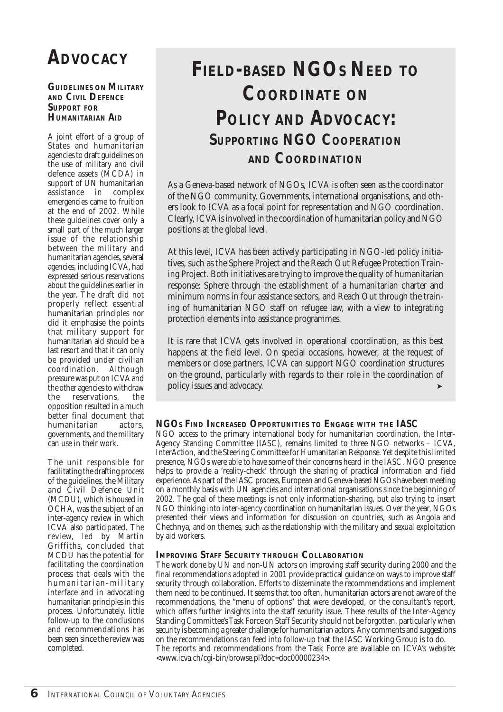# **ADVOCACY**

#### **GUIDELINES ON MILITARY AND CIVIL DEFENCE SUPPORT FOR HUMANITARIAN AID**

A joint effort of a group of States and humanitarian agencies to draft guidelines on the use of military and civil defence assets (MCDA) in support of UN humanitarian assistance in complex emergencies came to fruition at the end of 2002. While these guidelines cover only a small part of the much larger issue of the relationship between the military and humanitarian agencies, several agencies, including ICVA, had expressed serious reservations about the guidelines earlier in the year. The draft did not properly reflect essential humanitarian principles nor did it emphasise the points that military support for humanitarian aid should be a last resort and that it can only be provided under civilian coordination. Although pressure was put on ICVA and the other agencies to withdraw<br>the reservations. the reservations, the opposition resulted in a much better final document that<br>humanitarian actors. humanitarian governments, and the military can use in their work.

The unit responsible for facilitating the drafting process of the guidelines, the Military and Civil Defence Unit (MCDU), which is housed in OCHA, was the subject of an inter-agency review in which ICVA also participated. The review, led by Martin Griffiths, concluded that MCDU has the potential for facilitating the coordination process that deals with the humanitarian-military interface and in advocating humanitarian principles in this process. Unfortunately, little follow-up to the conclusions and recommendations has been seen since the review was completed.

## **FIELD-BASED NGOS NEED TO COORDINATE ON POLICY AND ADVOCACY: SUPPORTING NGO COOPERATION AND COORDINATION**

As a Geneva-based network of NGOs, ICVA is often seen as the coordinator of the NGO community. Governments, international organisations, and others look to ICVA as a focal point for representation and NGO coordination. Clearly, ICVA is involved in the coordination of humanitarian policy and NGO positions at the global level.

At this level, ICVA has been actively participating in NGO-led policy initiatives, such as the Sphere Project and the Reach Out Refugee Protection Training Project. Both initiatives are trying to improve the quality of humanitarian response: Sphere through the establishment of a humanitarian charter and minimum norms in four assistance sectors, and Reach Out through the training of humanitarian NGO staff on refugee law, with a view to integrating protection elements into assistance programmes.

It is rare that ICVA gets involved in operational coordination, as this best happens at the field level. On special occasions, however, at the request of members or close partners, ICVA can support NGO coordination structures on the ground, particularly with regards to their role in the coordination of policy issues and advocacy.

## **NGOS FIND INCREASED OPPORTUNITIES TO ENGAGE WITH THE IASC**

NGO access to the primary international body for humanitarian coordination, the Inter-Agency Standing Committee (IASC), remains limited to three NGO networks – ICVA, InterAction, and the Steering Committee for Humanitarian Response. Yet despite this limited presence, NGOs were able to have some of their concerns heard in the IASC. NGO presence helps to provide a 'reality-check' through the sharing of practical information and field experience. As part of the IASC process, European and Geneva-based NGOs have been meeting on a monthly basis with UN agencies and international organisations since the beginning of 2002. The goal of these meetings is not only information-sharing, but also trying to insert NGO thinking into inter-agency coordination on humanitarian issues. Over the year, NGOs presented their views and information for discussion on countries, such as Angola and Chechnya, and on themes, such as the relationship with the military and sexual exploitation by aid workers.

## **IMPROVING STAFF SECURITY THROUGH COLLABORATION**

The work done by UN and non-UN actors on improving staff security during 2000 and the final recommendations adopted in 2001 provide practical guidance on ways to improve staff security through collaboration. Efforts to disseminate the recommendations and implement them need to be continued. It seems that too often, humanitarian actors are not aware of the recommendations, the "menu of options" that were developed, or the consultant's report, which offers further insights into the staff security issue. These results of the Inter-Agency Standing Committee's Task Force on Staff Security should not be forgotten, particularly when security is becoming a greater challenge for humanitarian actors. Any comments and suggestions on the recommendations can feed into follow-up that the IASC Working Group is to do. The reports and recommendations from the Task Force are available on ICVA's website: <www.icva.ch/cgi-bin/browse.pl?doc=doc00000234>.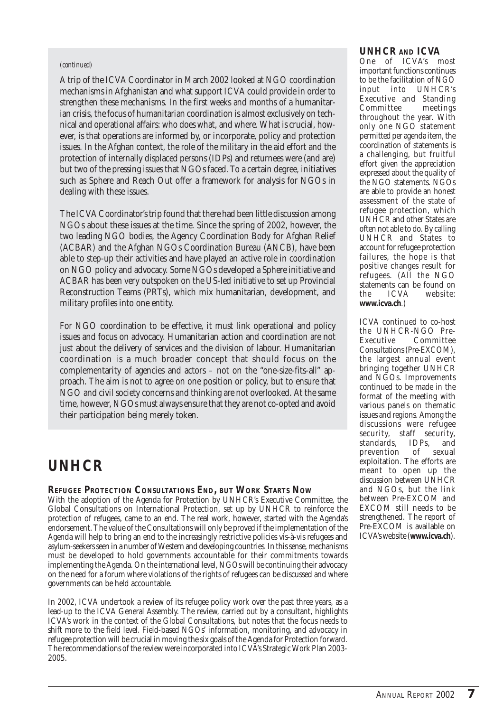#### *(continued)*

A trip of the ICVA Coordinator in March 2002 looked at NGO coordination mechanisms in Afghanistan and what support ICVA could provide in order to strengthen these mechanisms. In the first weeks and months of a humanitarian crisis, the focus of humanitarian coordination is almost exclusively on technical and operational affairs: who does what, and where. What is crucial, however, is that operations are informed by, or incorporate, policy and protection issues. In the Afghan context, the role of the military in the aid effort and the protection of internally displaced persons (IDPs) and returnees were (and are) but two of the pressing issues that NGOs faced. To a certain degree, initiatives such as Sphere and Reach Out offer a framework for analysis for NGOs in dealing with these issues.

The ICVA Coordinator's trip found that there had been little discussion among NGOs about these issues at the time. Since the spring of 2002, however, the two leading NGO bodies, the Agency Coordination Body for Afghan Relief (ACBAR) and the Afghan NGOs Coordination Bureau (ANCB), have been able to step-up their activities and have played an active role in coordination on NGO policy and advocacy. Some NGOs developed a Sphere initiative and ACBAR has been very outspoken on the US-led initiative to set up Provincial Reconstruction Teams (PRTs), which mix humanitarian, development, and military profiles into one entity.

For NGO coordination to be effective, it must link operational and policy issues and focus on advocacy. Humanitarian action and coordination are not just about the delivery of services and the division of labour. Humanitarian coordination is a much broader concept that should focus on the complementarity of agencies and actors – not on the "one-size-fits-all" approach. The aim is not to agree on one position or policy, but to ensure that NGO and civil society concerns and thinking are not overlooked. At the same time, however, NGOs must always ensure that they are not co-opted and avoid their participation being merely token.

## **UNHCR**

## **REFUGEE PROTECTION CONSULTATIONS END, BUT WORK STARTS NOW**

With the adoption of the Agenda for Protection by UNHCR's Executive Committee, the Global Consultations on International Protection, set up by UNHCR to reinforce the protection of refugees, came to an end. The real work, however, started with the Agenda's endorsement. The value of the Consultations will only be proved if the implementation of the Agenda will help to bring an end to the increasingly restrictive policies vis-à-vis refugees and asylum-seekers seen in a number of Western and developing countries. In this sense, mechanisms must be developed to hold governments accountable for their commitments towards implementing the Agenda. On the international level, NGOs will be continuing their advocacy on the need for a forum where violations of the rights of refugees can be discussed and where governments can be held accountable.

In 2002, ICVA undertook a review of its refugee policy work over the past three years, as a lead-up to the ICVA General Assembly. The review, carried out by a consultant, highlights ICVA's work in the context of the Global Consultations, but notes that the focus needs to shift more to the field level. Field-based NGOs' information, monitoring, and advocacy in refugee protection will be crucial in moving the six goals of the Agenda for Protection forward. The recommendations of the review were incorporated into ICVA's Strategic Work Plan 2003- 2005.

## **UNHCR AND ICVA**

One of ICVA's most important functions continues to be the facilitation of NGO input into UNHCR's Executive and Standing Committee meetings throughout the year. With only one NGO statement permitted per agenda item, the coordination of statements is a challenging, but fruitful effort given the appreciation expressed about the quality of the NGO statements. NGOs are able to provide an honest assessment of the state of refugee protection, which UNHCR and other States are often not able to do. By calling UNHCR and States to account for refugee protection failures, the hope is that positive changes result for refugees. (All the NGO statements can be found on<br>the ICVA website: website: **www.icva.ch**.)

ICVA continued to co-host the UNHCR-NGO Pre-Executive Committee Consultations (Pre-EXCOM), the largest annual event bringing together UNHCR and NGOs. Improvements continued to be made in the format of the meeting with various panels on thematic issues and regions. Among the discussions were refugee security, staff security,<br>standards, IDPs, and standards, IDPs, and prevention of sexual exploitation. The efforts are meant to open up the discussion between UNHCR and NGOs, but the link between Pre-EXCOM and EXCOM still needs to be strengthened. The report of Pre-EXCOM is available on ICVA's website (**www.icva.ch**).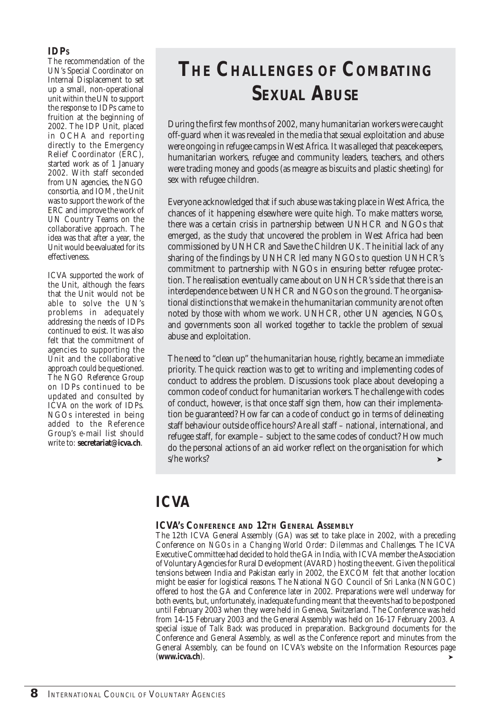## **IDPS**

The recommendation of the UN's Special Coordinator on Internal Displacement to set up a small, non-operational unit within the UN to support the response to IDPs came to fruition at the beginning of 2002. The IDP Unit, placed in OCHA and reporting directly to the Emergency Relief Coordinator (ERC), started work as of 1 January 2002. With staff seconded from UN agencies, the NGO consortia, and IOM, the Unit was to support the work of the ERC and improve the work of UN Country Teams on the collaborative approach. The idea was that after a year, the Unit would be evaluated for its effectiveness.

ICVA supported the work of the Unit, although the fears that the Unit would not be able to solve the UN's problems in adequately addressing the needs of IDPs continued to exist. It was also felt that the commitment of agencies to supporting the Unit and the collaborative approach could be questioned. The NGO Reference Group on IDPs continued to be updated and consulted by ICVA on the work of IDPs. NGOs interested in being added to the Reference Group's e-mail list should write to: **secretariat@icva.ch**.

## **THE CHALLENGES OF COMBATING SEXUAL ABUSE**

During the first few months of 2002, many humanitarian workers were caught off-guard when it was revealed in the media that sexual exploitation and abuse were ongoing in refugee camps in West Africa. It was alleged that peacekeepers, humanitarian workers, refugee and community leaders, teachers, and others were trading money and goods (as meagre as biscuits and plastic sheeting) for sex with refugee children.

Everyone acknowledged that if such abuse was taking place in West Africa, the chances of it happening elsewhere were quite high. To make matters worse, there was a certain crisis in partnership between UNHCR and NGOs that emerged, as the study that uncovered the problem in West Africa had been commissioned by UNHCR and Save the Children UK. The initial lack of any sharing of the findings by UNHCR led many NGOs to question UNHCR's commitment to partnership with NGOs in ensuring better refugee protection. The realisation eventually came about on UNHCR's side that there is an interdependence between UNHCR and NGOs on the ground. The organisational distinctions that we make in the humanitarian community are not often noted by those with whom we work. UNHCR, other UN agencies, NGOs, and governments soon all worked together to tackle the problem of sexual abuse and exploitation.

The need to "clean up" the humanitarian house, rightly, became an immediate priority. The quick reaction was to get to writing and implementing codes of conduct to address the problem. Discussions took place about developing a common code of conduct for humanitarian workers. The challenge with codes of conduct, however, is that once staff sign them, how can their implementation be guaranteed? How far can a code of conduct go in terms of delineating staff behaviour outside office hours? Are all staff – national, international, and refugee staff, for example – subject to the same codes of conduct? How much do the personal actions of an aid worker reflect on the organisation for which s/he works?

## **ICVA**

## **ICVA'S CONFERENCE AND 12TH GENERAL ASSEMBLY**

The 12th ICVA General Assembly (GA) was set to take place in 2002, with a preceding Conference on *NGOs in a Changing World Order: Dilemmas and Challenges*. The ICVA Executive Committee had decided to hold the GA in India, with ICVA member the Association of Voluntary Agencies for Rural Development (AVARD) hosting the event. Given the political tensions between India and Pakistan early in 2002, the EXCOM felt that another location might be easier for logistical reasons. The National NGO Council of Sri Lanka (NNGOC) offered to host the GA and Conference later in 2002. Preparations were well underway for both events, but, unfortunately, inadequate funding meant that the events had to be postponed until February 2003 when they were held in Geneva, Switzerland. The Conference was held from 14-15 February 2003 and the General Assembly was held on 16-17 February 2003. A special issue of *Talk Back* was produced in preparation. Background documents for the Conference and General Assembly, as well as the Conference report and minutes from the General Assembly, can be found on ICVA's website on the Information Resources page (**www.icva.ch**). ➤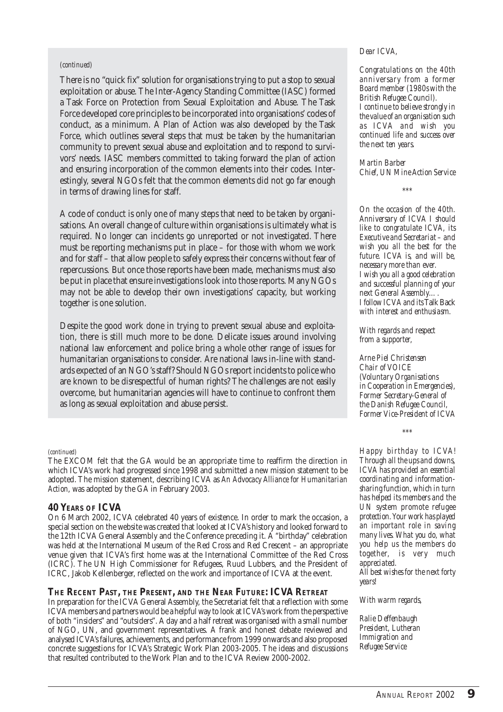#### *(continued)*

There is no "quick fix" solution for organisations trying to put a stop to sexual exploitation or abuse. The Inter-Agency Standing Committee (IASC) formed a Task Force on Protection from Sexual Exploitation and Abuse. The Task Force developed core principles to be incorporated into organisations' codes of conduct, as a minimum. A Plan of Action was also developed by the Task Force, which outlines several steps that must be taken by the humanitarian community to prevent sexual abuse and exploitation and to respond to survivors' needs. IASC members committed to taking forward the plan of action and ensuring incorporation of the common elements into their codes. Interestingly, several NGOs felt that the common elements did not go far enough in terms of drawing lines for staff.

A code of conduct is only one of many steps that need to be taken by organisations. An overall change of culture within organisations is ultimately what is required. No longer can incidents go unreported or not investigated. There must be reporting mechanisms put in place – for those with whom we work and for staff – that allow people to safely express their concerns without fear of repercussions. But once those reports have been made, mechanisms must also be put in place that ensure investigations look into those reports. Many NGOs may not be able to develop their own investigations' capacity, but working together is one solution.

Despite the good work done in trying to prevent sexual abuse and exploitation, there is still much more to be done. Delicate issues around involving national law enforcement and police bring a whole other range of issues for humanitarian organisations to consider. Are national laws in-line with standards expected of an NGO's staff? Should NGOs report incidents to police who are known to be disrespectful of human rights? The challenges are not easily overcome, but humanitarian agencies will have to continue to confront them as long as sexual exploitation and abuse persist.

#### *(continued)*

The EXCOM felt that the GA would be an appropriate time to reaffirm the direction in which ICVA's work had progressed since 1998 and submitted a new mission statement to be adopted. The mission statement, describing ICVA as *An Advocacy Alliance for Humanitarian Action*, was adopted by the GA in February 2003.

#### **40 YEARS OF ICVA**

On 6 March 2002, ICVA celebrated 40 years of existence. In order to mark the occasion, a special section on the website was created that looked at ICVA's history and looked forward to the 12th ICVA General Assembly and the Conference preceding it. A "birthday" celebration was held at the International Museum of the Red Cross and Red Crescent – an appropriate venue given that ICVA's first home was at the International Committee of the Red Cross (ICRC). The UN High Commissioner for Refugees, Ruud Lubbers, and the President of ICRC, Jakob Kellenberger, reflected on the work and importance of ICVA at the event.

#### **THE RECENT PAST, THE PRESENT, AND THE NEAR FUTURE: ICVA RETREAT**

In preparation for the ICVA General Assembly, the Secretariat felt that a reflection with some ICVA members and partners would be a helpful way to look at ICVA's work from the perspective of both "insiders" and "outsiders". A day and a half retreat was organised with a small number of NGO, UN, and government representatives. A frank and honest debate reviewed and analysed ICVA's failures, achievements, and performance from 1999 onwards and also proposed concrete suggestions for ICVA's Strategic Work Plan 2003-2005. The ideas and discussions that resulted contributed to the Work Plan and to the ICVA Review 2000-2002.

#### *Dear ICVA,*

*Congratulations on the 40th anniversary from a former Board member (1980s with the British Refugee Council). I continue to believe strongly in the value of an organisation such as ICVA and wish you continued life and success over the next ten years.*

*Martin Barber Chief, UN Mine Action Service*

*\*\*\**

*On the occasion of the 40th. Anniversary of ICVA I should like to congratulate ICVA, its Executive and Secretariat – and wish you all the best for the future. ICVA is, and will be, necessary more than ever. I wish you all a good celebration and successful planning of your next General Assembly…. I follow ICVA and its* Talk Back *with interest and enthusiasm.*

*With regards and respect from a supporter,*

*Arne Piel Christensen Chair of VOICE (Voluntary Organisations in Cooperation in Emergencies), Former Secretary-General of the Danish Refugee Council, Former Vice-President of ICVA*

*\*\*\**

*Happy birthday to ICVA! Through all the ups and downs, ICVA has provided an essential coordinating and informationsharing function, which in turn has helped its members and the UN system promote refugee protection. Your work has played an important role in saving many lives. What you do, what you help us the members do together, is very much appreciated. All best wishes for the next forty years!*

*With warm regards,*

*Ralie Deffenbaugh President, Lutheran Immigration and Refugee Service*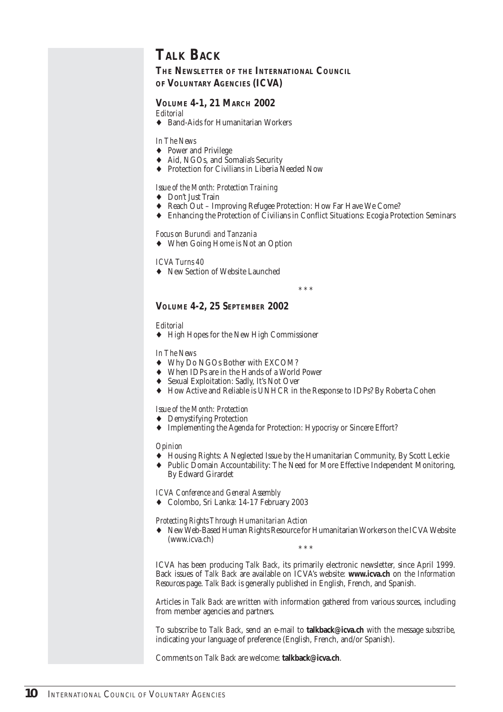## **TALK BACK**

**THE NEWSLETTER OF THE INTERNATIONAL COUNCIL OF VOLUNTARY AGENCIES (ICVA)**

## **VOLUME 4-1, 21 MARCH 2002**

*Editorial*

♦ Band-Aids for Humanitarian Workers

#### *In The News*

- ♦ Power and Privilege
- ♦ Aid, NGOs, and Somalia's Security
- ♦ Protection for Civilians in Liberia Needed Now

#### *Issue of the Month: Protection Training*

- ♦ Don't Just Train
- ♦ Reach Out Improving Refugee Protection: How Far Have We Come?
- ♦ Enhancing the Protection of Civilians in Conflict Situations: Ecogia Protection Seminars

#### *Focus on Burundi and Tanzania*

♦ When Going Home is Not an Option

#### *ICVA Turns 40*

♦ New Section of Website Launched

\* \* \*

## **VOLUME 4-2, 25 SEPTEMBER 2002**

#### *Editorial*

♦ High Hopes for the New High Commissioner

*In The News*

- ♦ Why Do NGOs Bother with EXCOM?
- ♦ When IDPs are in the Hands of a World Power
- ♦ Sexual Exploitation: Sadly, It's Not Over
- ♦ How Active and Reliable is UNHCR in the Response to IDPs? By Roberta Cohen

#### *Issue of the Month: Protection*

- ♦ Demystifying Protection
- ♦ Implementing the Agenda for Protection: Hypocrisy or Sincere Effort?

#### *Opinion*

- ♦ Housing Rights: A Neglected Issue by the Humanitarian Community, By Scott Leckie
- ♦ Public Domain Accountability: The Need for More Effective Independent Monitoring, By Edward Girardet

*ICVA Conference and General Assembly*

♦ Colombo, Sri Lanka: 14-17 February 2003

*Protecting Rights Through Humanitarian Action*

New Web-Based Human Rights Resource for Humanitarian Workers on the ICVA Website (www.icva.ch) \* \* \*

ICVA has been producing *Talk Back*, its primarily electronic newsletter, since April 1999. Back issues of *Talk Back* are available on ICVA's website: **www.icva.ch** on the *Information Resources* page. *Talk Back* is generally published in English, French, and Spanish.

Articles in *Talk Back* are written with information gathered from various sources, including from member agencies and partners.

To subscribe to *Talk Back*, send an e-mail to **talkback@icva.ch** with the message *subscribe*, indicating your language of preference (English, French, and/or Spanish).

Comments on *Talk Back* are welcome: **talkback@icva.ch**.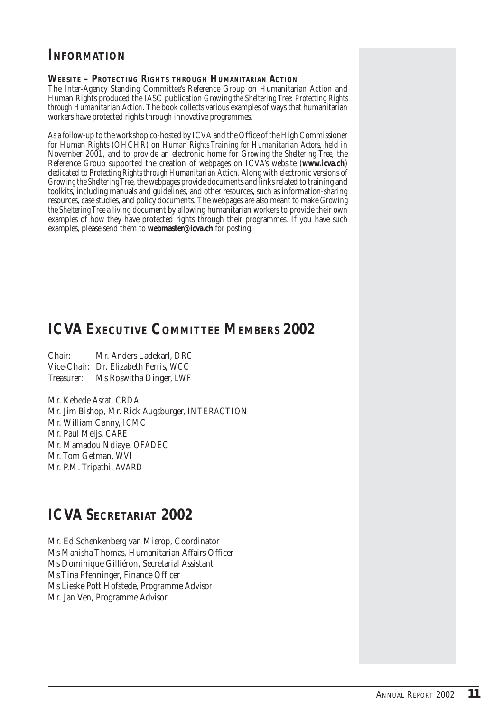## **INFORMATION**

#### **WEBSITE –** *PROTECTING RIGHTS THROUGH HUMANITARIAN ACTION*

The Inter-Agency Standing Committee's Reference Group on Humanitarian Action and Human Rights produced the IASC publication *Growing the Sheltering Tree: Protecting Rights through Humanitarian Action*. The book collects various examples of ways that humanitarian workers have protected rights through innovative programmes.

As a follow-up to the workshop co-hosted by ICVA and the Office of the High Commissioner for Human Rights (OHCHR) on *Human Rights Training for Humanitarian Actors*, held in November 2001, and to provide an electronic home for *Growing the Sheltering Tree*, the Reference Group supported the creation of webpages on ICVA's website (**www.icva.ch**) dedicated to *Protecting Rights through Humanitarian Action*. Along with electronic versions of *Growing the Sheltering Tree*, the webpages provide documents and links related to training and toolkits, including manuals and guidelines, and other resources, such as information-sharing resources, case studies, and policy documents. The webpages are also meant to make *Growing the Sheltering Tree* a living document by allowing humanitarian workers to provide their own examples of how they have protected rights through their programmes. If you have such examples, please send them to **webmaster@icva.ch** for posting.

## **ICVA EXECUTIVE COMMITTEE MEMBERS 2002**

Chair: Mr. Anders Ladekarl, *DRC* Vice-Chair: Dr. Elizabeth Ferris, *WCC* Treasurer: Ms Roswitha Dinger, *LWF*

Mr. Kebede Asrat, *CRDA* Mr. Jim Bishop, Mr. Rick Augsburger, *INTERACTION* Mr. William Canny, *ICMC* Mr. Paul Meijs, *CARE* Mr. Mamadou Ndiaye, *OFADEC* Mr. Tom Getman, *WVI* Mr. P.M. Tripathi, *AVARD*

## **ICVA SECRETARIAT 2002**

Mr. Ed Schenkenberg van Mierop, Coordinator Ms Manisha Thomas, Humanitarian Affairs Officer Ms Dominique Gilliéron, Secretarial Assistant Ms Tina Pfenninger, Finance Officer Ms Lieske Pott Hofstede, Programme Advisor Mr. Jan Ven, Programme Advisor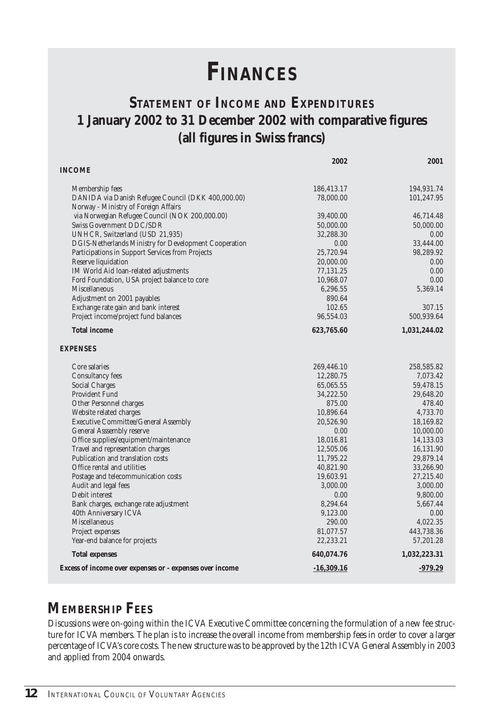# **FINANCES**

## **STATEMENT OF INCOME AND EXPENDITURES 1 January 2002 to 31 December 2002 with comparative figures (all figures in Swiss francs)**

|                                                                       | 2002                    | 2001                     |
|-----------------------------------------------------------------------|-------------------------|--------------------------|
| <b>INCOME</b>                                                         |                         |                          |
|                                                                       |                         |                          |
| Membership fees<br>DANIDA via Danish Refugee Council (DKK 400,000.00) | 186,413.17<br>78,000.00 | 194,931.74<br>101,247.95 |
| Norway - Ministry of Foreign Affairs                                  |                         |                          |
| via Norwegian Refugee Council (NOK 200,000.00)                        | 39,400.00               | 46,714.48                |
| Swiss Government DDC/SDR                                              | 50,000.00               | 50,000.00                |
| UNHCR, Switzerland (USD 21,935)                                       | 32,288.30               | 0.00                     |
| DGIS-Netherlands Ministry for Development Cooperation                 | 0.00                    | 33,444.00                |
| Participations in Support Services from Projects                      | 25,720.94               | 98,289.92                |
| Reserve liquidation                                                   | 20,000.00               | 0.00                     |
| IM World Aid loan-related adjustments                                 | 77,131.25               | 0.00                     |
| Ford Foundation, USA project balance to core                          | 10,968.07               | 0.00                     |
| <b>Miscellaneous</b>                                                  | 6,296.55                | 5,369.14                 |
| Adjustment on 2001 payables                                           | 890.64                  |                          |
| Exchange rate gain and bank interest                                  | 102.65                  | 307.15                   |
| Project income/project fund balances                                  | 96,554.03               | 500,939.64               |
| <b>Total income</b>                                                   | 623,765.60              | 1,031,244.02             |
| <b>EXPENSES</b>                                                       |                         |                          |
| Core salaries                                                         | 269,446.10              | 258,585.82               |
| <b>Consultancy fees</b>                                               | 12,280.75               | 7,073.42                 |
| <b>Social Charges</b>                                                 | 65,065.55               | 59,478.15                |
| <b>Provident Fund</b>                                                 | 34,222.50               | 29,648.20                |
| Other Personnel charges                                               | 875.00                  | 478.40                   |
| Website related charges                                               | 10,896.64               | 4.733.70                 |
| <b>Executive Committee/General Assembly</b>                           | 20,526.90               | 18,169.82                |
| <b>General Asssembly reserve</b>                                      | 0.00                    | 10,000.00                |
| Office supplies/equipment/maintenance                                 | 18,016.81               | 14,133.03                |
| Travel and representation charges                                     | 12,505.06               | 16,131.90                |
| Publication and translation costs                                     | 11,795.22               | 29,879.14                |
| Office rental and utilities                                           | 40,821.90               | 33,266.90                |
| Postage and telecommunication costs                                   | 19,603.91               | 27,215.40                |
| Audit and legal fees                                                  | 3,000.00                | 3,000.00                 |
| Debit interest                                                        | 0.00                    | 9,800.00                 |
| Bank charges, exchange rate adjustment                                | 8,294.64                | 5,667.44                 |
| 40th Anniversary ICVA<br>Miscellaneous                                | 9,123.00                | 0.00                     |
|                                                                       | 290.00                  | 4,022.35<br>443,738.36   |
| Project expenses<br>Year-end balance for projects                     | 81,077.57<br>22,233.21  | 57,201.28                |
| <b>Total expenses</b>                                                 | 640,074.76              | 1,032,223.31             |
|                                                                       |                         |                          |
| Excess of income over expenses or - expenses over income              | $-16,309.16$            | $-979.29$                |

## **MEMBERSHIP FEES**

Discussions were on-going within the ICVA Executive Committee concerning the formulation of a new fee structure for ICVA members. The plan is to increase the overall income from membership fees in order to cover a larger percentage of ICVA's core costs. The new structure was to be approved by the 12th ICVA General Assembly in 2003 and applied from 2004 onwards.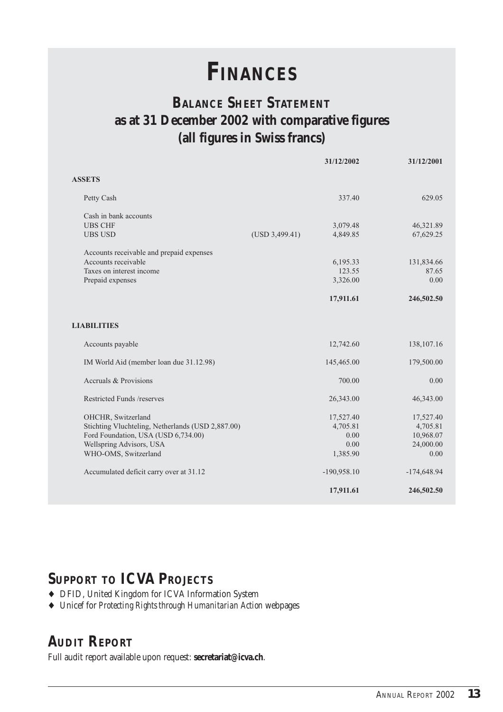# **FINANCES**

## **BALANCE SHEET STATEMENT as at 31 December 2002 with comparative figures (all figures in Swiss francs)**

|                                                   | 31/12/2002                 | 31/12/2001    |
|---------------------------------------------------|----------------------------|---------------|
| <b>ASSETS</b>                                     |                            |               |
| Petty Cash                                        | 337.40                     | 629.05        |
| Cash in bank accounts                             |                            |               |
| <b>UBS CHF</b>                                    | 3,079.48                   | 46,321.89     |
| <b>UBS USD</b>                                    | (USD 3,499.41)<br>4,849.85 | 67,629.25     |
| Accounts receivable and prepaid expenses          |                            |               |
| Accounts receivable                               | 6,195.33                   | 131,834.66    |
| Taxes on interest income                          | 123.55                     | 87.65         |
| Prepaid expenses                                  | 3,326.00                   | 0.00          |
|                                                   | 17,911.61                  | 246,502.50    |
| <b>LIABILITIES</b>                                |                            |               |
| Accounts payable                                  | 12,742.60                  | 138,107.16    |
| IM World Aid (member loan due 31.12.98)           | 145,465.00                 | 179,500.00    |
| Accruals & Provisions                             | 700.00                     | 0.00          |
| Restricted Funds /reserves                        | 26,343.00                  | 46,343.00     |
| OHCHR, Switzerland                                | 17,527.40                  | 17,527.40     |
| Stichting Vluchteling, Netherlands (USD 2,887.00) | 4,705.81                   | 4,705.81      |
| Ford Foundation, USA (USD 6,734.00)               | 0.00                       | 10,968.07     |
| Wellspring Advisors, USA                          | 0.00                       | 24,000.00     |
| WHO-OMS, Switzerland                              | 1,385.90                   | 0.00          |
| Accumulated deficit carry over at 31.12           | $-190,958.10$              | $-174,648.94$ |
|                                                   | 17,911.61                  | 246,502.50    |

## **SUPPORT TO ICVA PROJECTS**

- ♦ DFID, United Kingdom for ICVA Information System
- ♦ Unicef for *Protecting Rights through Humanitarian Action* webpages

## **AUDIT REPORT**

Full audit report available upon request: **secretariat@icva.ch**.